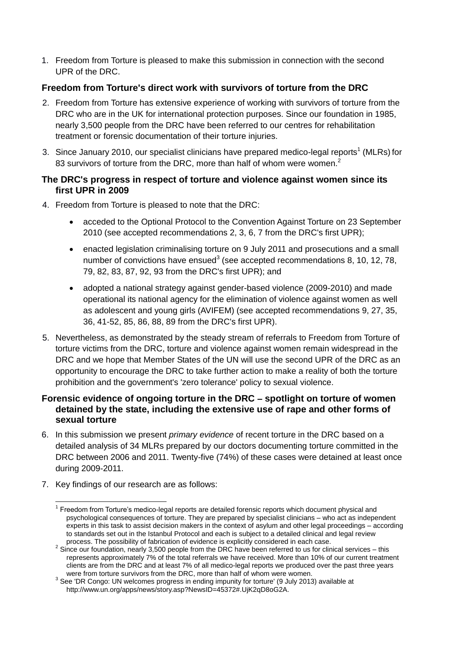1. Freedom from Torture is pleased to make this submission in connection with the second UPR of the DRC.

# **Freedom from Torture's direct work with survivors of torture from the DRC**

- 2. Freedom from Torture has extensive experience of working with survivors of torture from the DRC who are in the UK for international protection purposes. Since our foundation in 1985, nearly 3,500 people from the DRC have been referred to our centres for rehabilitation treatment or forensic documentation of their torture injuries.
- 3. Since January 2010, our specialist clinicians have prepared medico-legal reports<sup>1</sup> (MLRs) for 83 survivors of torture from the DRC, more than half of whom were women.<sup>2</sup>

## **The DRC's progress in respect of torture and violence against women since its first UPR in 2009**

- 4. Freedom from Torture is pleased to note that the DRC:
	- acceded to the Optional Protocol to the Convention Against Torture on 23 September 2010 (see accepted recommendations 2, 3, 6, 7 from the DRC's first UPR);
	- enacted legislation criminalising torture on 9 July 2011 and prosecutions and a small number of convictions have ensued<sup>3</sup> (see accepted recommendations 8, 10, 12, 78, 79, 82, 83, 87, 92, 93 from the DRC's first UPR); and
	- adopted a national strategy against gender-based violence (2009-2010) and made operational its national agency for the elimination of violence against women as well as adolescent and young girls (AVIFEM) (see accepted recommendations 9, 27, 35, 36, 41-52, 85, 86, 88, 89 from the DRC's first UPR).
- 5. Nevertheless, as demonstrated by the steady stream of referrals to Freedom from Torture of torture victims from the DRC, torture and violence against women remain widespread in the DRC and we hope that Member States of the UN will use the second UPR of the DRC as an opportunity to encourage the DRC to take further action to make a reality of both the torture prohibition and the government's 'zero tolerance' policy to sexual violence.

# **Forensic evidence of ongoing torture in the DRC – spotlight on torture of women detained by the state, including the extensive use of rape and other forms of sexual torture**

- 6. In this submission we present *primary evidence* of recent torture in the DRC based on a detailed analysis of 34 MLRs prepared by our doctors documenting torture committed in the DRC between 2006 and 2011. Twenty-five (74%) of these cases were detained at least once during 2009-2011.
- 7. Key findings of our research are as follows:

 $\overline{1}$ <sup>1</sup> Freedom from Torture's medico-legal reports are detailed forensic reports which document physical and psychological consequences of torture. They are prepared by specialist clinicians – who act as independent experts in this task to assist decision makers in the context of asylum and other legal proceedings – according to standards set out in the Istanbul Protocol and each is subject to a detailed clinical and legal review process. The possibility of fabrication of evidence is explicitly considered in each case.

<sup>&</sup>lt;sup>2</sup> Since our foundation, nearly 3,500 people from the DRC have been referred to us for clinical services – this represents approximately 7% of the total referrals we have received. More than 10% of our current treatment clients are from the DRC and at least 7% of all medico-legal reports we produced over the past three years were from torture survivors from the DRC, more than half of whom were women.

<sup>&</sup>lt;sup>3</sup> See 'DR Congo: UN welcomes progress in ending impunity for torture' (9 July 2013) available at http://www.un.org/apps/news/story.asp?NewsID=45372#.UjK2qD8oG2A.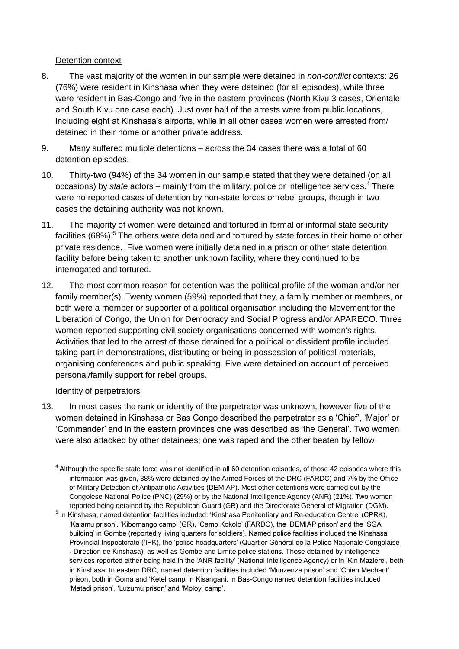#### Detention context

- 8. The vast majority of the women in our sample were detained in *non-conflict* contexts: 26 (76%) were resident in Kinshasa when they were detained (for all episodes), while three were resident in Bas-Congo and five in the eastern provinces (North Kivu 3 cases, Orientale and South Kivu one case each). Just over half of the arrests were from public locations, including eight at Kinshasa's airports, while in all other cases women were arrested from/ detained in their home or another private address.
- 9. Many suffered multiple detentions across the 34 cases there was a total of 60 detention episodes.
- 10. Thirty-two (94%) of the 34 women in our sample stated that they were detained (on all occasions) by *state* actors – mainly from the military, police or intelligence services.<sup>4</sup> There were no reported cases of detention by non-state forces or rebel groups, though in two cases the detaining authority was not known.
- 11. The majority of women were detained and tortured in formal or informal state security facilities (68%).<sup>5</sup> The others were detained and tortured by state forces in their home or other private residence. Five women were initially detained in a prison or other state detention facility before being taken to another unknown facility, where they continued to be interrogated and tortured.
- 12. The most common reason for detention was the political profile of the woman and/or her family member(s). Twenty women (59%) reported that they, a family member or members, or both were a member or supporter of a political organisation including the Movement for the Liberation of Congo, the Union for Democracy and Social Progress and/or APARECO. Three women reported supporting civil society organisations concerned with women's rights. Activities that led to the arrest of those detained for a political or dissident profile included taking part in demonstrations, distributing or being in possession of political materials, organising conferences and public speaking. Five were detained on account of perceived personal/family support for rebel groups.

### Identity of perpetrators

13. In most cases the rank or identity of the perpetrator was unknown, however five of the women detained in Kinshasa or Bas Congo described the perpetrator as a 'Chief', 'Major' or 'Commander' and in the eastern provinces one was described as 'the General'. Two women were also attacked by other detainees; one was raped and the other beaten by fellow

<sup>-</sup><sup>4</sup> Although the specific state force was not identified in all 60 detention episodes, of those 42 episodes where this information was given, 38% were detained by the Armed Forces of the DRC (FARDC) and 7% by the Office of Military Detection of Antipatriotic Activities (DEMIAP). Most other detentions were carried out by the Congolese National Police (PNC) (29%) or by the National Intelligence Agency (ANR) (21%). Two women reported being detained by the Republican Guard (GR) and the Directorate General of Migration (DGM).

<sup>&</sup>lt;sup>5</sup> In Kinshasa, named detention facilities included: 'Kinshasa Penitentiary and Re-education Centre' (CPRK), 'Kalamu prison', 'Kibomango camp' (GR), 'Camp Kokolo' (FARDC), the 'DEMIAP prison' and the 'SGA building' in Gombe (reportedly living quarters for soldiers). Named police facilities included the Kinshasa Provincial Inspectorate ('IPK), the 'police headquarters' (Quartier Général de la Police Nationale Congolaise - Direction de Kinshasa), as well as Gombe and Limite police stations. Those detained by intelligence services reported either being held in the 'ANR facility' (National Intelligence Agency) or in 'Kin Maziere', both in Kinshasa. In eastern DRC, named detention facilities included 'Munzenze prison' and 'Chien Mechant' prison, both in Goma and 'Ketel camp' in Kisangani. In Bas-Congo named detention facilities included 'Matadi prison', 'Luzumu prison' and 'Moloyi camp'.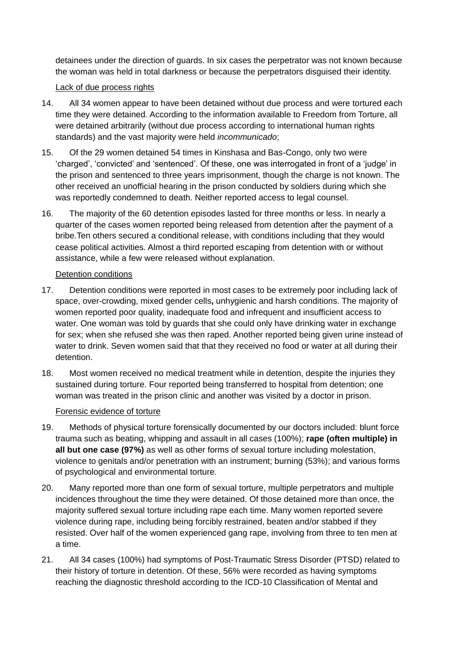detainees under the direction of guards. In six cases the perpetrator was not known because the woman was held in total darkness or because the perpetrators disguised their identity.

### Lack of due process rights

- 14. All 34 women appear to have been detained without due process and were tortured each time they were detained. According to the information available to Freedom from Torture, all were detained arbitrarily (without due process according to international human rights standards) and the vast majority were held *incommunicado*;
- 15. Of the 29 women detained 54 times in Kinshasa and Bas-Congo, only two were 'charged', 'convicted' and 'sentenced'. Of these, one was interrogated in front of a 'judge' in the prison and sentenced to three years imprisonment, though the charge is not known. The other received an unofficial hearing in the prison conducted by soldiers during which she was reportedly condemned to death. Neither reported access to legal counsel.
- 16. The majority of the 60 detention episodes lasted for three months or less. In nearly a quarter of the cases women reported being released from detention after the payment of a bribe.Ten others secured a conditional release, with conditions including that they would cease political activities. Almost a third reported escaping from detention with or without assistance, while a few were released without explanation.

#### Detention conditions

- 17. Detention conditions were reported in most cases to be extremely poor including lack of space, over-crowding, mixed gender cells**,** unhygienic and harsh conditions. The majority of women reported poor quality, inadequate food and infrequent and insufficient access to water. One woman was told by guards that she could only have drinking water in exchange for sex; when she refused she was then raped. Another reported being given urine instead of water to drink. Seven women said that that they received no food or water at all during their detention.
- 18. Most women received no medical treatment while in detention, despite the injuries they sustained during torture. Four reported being transferred to hospital from detention; one woman was treated in the prison clinic and another was visited by a doctor in prison.

#### Forensic evidence of torture

- 19. Methods of physical torture forensically documented by our doctors included: blunt force trauma such as beating, whipping and assault in all cases (100%); **rape (often multiple) in all but one case (97%)** as well as other forms of sexual torture including molestation, violence to genitals and/or penetration with an instrument; burning (53%); and various forms of psychological and environmental torture.
- 20. Many reported more than one form of sexual torture, multiple perpetrators and multiple incidences throughout the time they were detained. Of those detained more than once, the majority suffered sexual torture including rape each time. Many women reported severe violence during rape, including being forcibly restrained, beaten and/or stabbed if they resisted. Over half of the women experienced gang rape, involving from three to ten men at a time.
- 21. All 34 cases (100%) had symptoms of Post-Traumatic Stress Disorder (PTSD) related to their history of torture in detention. Of these, 56% were recorded as having symptoms reaching the diagnostic threshold according to the ICD-10 Classification of Mental and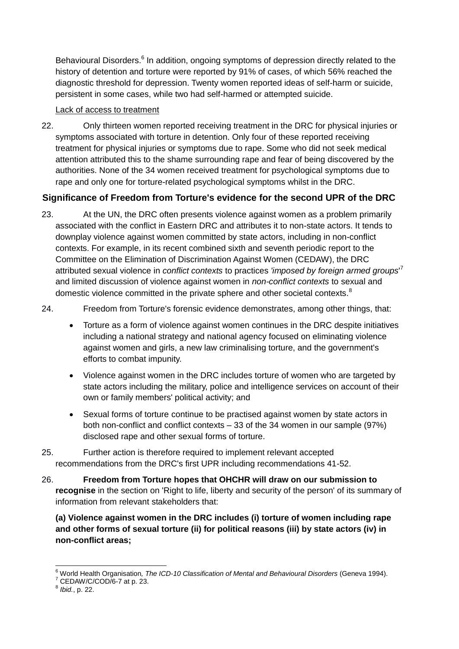Behavioural Disorders.<sup>6</sup> In addition, ongoing symptoms of depression directly related to the history of detention and torture were reported by 91% of cases, of which 56% reached the diagnostic threshold for depression. Twenty women reported ideas of self-harm or suicide, persistent in some cases, while two had self-harmed or attempted suicide.

#### Lack of access to treatment

22. Only thirteen women reported receiving treatment in the DRC for physical injuries or symptoms associated with torture in detention. Only four of these reported receiving treatment for physical injuries or symptoms due to rape. Some who did not seek medical attention attributed this to the shame surrounding rape and fear of being discovered by the authorities. None of the 34 women received treatment for psychological symptoms due to rape and only one for torture-related psychological symptoms whilst in the DRC.

# **Significance of Freedom from Torture's evidence for the second UPR of the DRC**

23. At the UN, the DRC often presents violence against women as a problem primarily associated with the conflict in Eastern DRC and attributes it to non-state actors. It tends to downplay violence against women committed by state actors, including in non-conflict contexts. For example, in its recent combined sixth and seventh periodic report to the Committee on the Elimination of Discrimination Against Women (CEDAW), the DRC attributed sexual violence in *conflict contexts* to practices *'imposed by foreign armed groups*' 7 and limited discussion of violence against women in *non-conflict contexts* to sexual and domestic violence committed in the private sphere and other societal contexts.<sup>8</sup>

24. Freedom from Torture's forensic evidence demonstrates, among other things, that:

- Torture as a form of violence against women continues in the DRC despite initiatives including a national strategy and national agency focused on eliminating violence against women and girls, a new law criminalising torture, and the government's efforts to combat impunity.
- Violence against women in the DRC includes torture of women who are targeted by state actors including the military, police and intelligence services on account of their own or family members' political activity; and
- Sexual forms of torture continue to be practised against women by state actors in both non-conflict and conflict contexts – 33 of the 34 women in our sample (97%) disclosed rape and other sexual forms of torture.
- 25. Further action is therefore required to implement relevant accepted recommendations from the DRC's first UPR including recommendations 41-52.
- 26. **Freedom from Torture hopes that OHCHR will draw on our submission to recognise** in the section on 'Right to life, liberty and security of the person' of its summary of information from relevant stakeholders that:

**(a) Violence against women in the DRC includes (i) torture of women including rape and other forms of sexual torture (ii) for political reasons (iii) by state actors (iv) in non-conflict areas;** 

 $\overline{a}$ 

<sup>6</sup> World Health Organisation*, The ICD-10 Classification of Mental and Behavioural Disorders* (Geneva 1994).

<sup>&</sup>lt;sup>7</sup> CEDAW/C/COD/6-7 at p. 23.

<sup>8</sup> *Ibid.*, p. 22.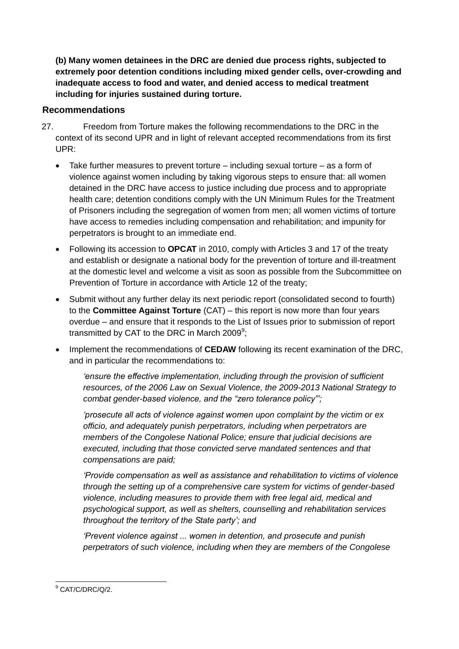**(b) Many women detainees in the DRC are denied due process rights, subjected to extremely poor detention conditions including mixed gender cells, over-crowding and inadequate access to food and water, and denied access to medical treatment including for injuries sustained during torture.**

# **Recommendations**

- 27. Freedom from Torture makes the following recommendations to the DRC in the context of its second UPR and in light of relevant accepted recommendations from its first UPR:
	- Take further measures to prevent torture including sexual torture as a form of violence against women including by taking vigorous steps to ensure that: all women detained in the DRC have access to justice including due process and to appropriate health care; detention conditions comply with the UN Minimum Rules for the Treatment of Prisoners including the segregation of women from men; all women victims of torture have access to remedies including compensation and rehabilitation; and impunity for perpetrators is brought to an immediate end.
	- Following its accession to **OPCAT** in 2010, comply with Articles 3 and 17 of the treaty and establish or designate a national body for the prevention of torture and ill-treatment at the domestic level and welcome a visit as soon as possible from the Subcommittee on Prevention of Torture in accordance with Article 12 of the treaty;
	- Submit without any further delay its next periodic report (consolidated second to fourth) to the **Committee Against Torture** (CAT) – this report is now more than four years overdue – and ensure that it responds to the List of Issues prior to submission of report transmitted by CAT to the DRC in March 2009<sup>9</sup>;
	- Implement the recommendations of **CEDAW** following its recent examination of the DRC, and in particular the recommendations to:

*'ensure the effective implementation, including through the provision of sufficient resources, of the 2006 Law on Sexual Violence, the 2009-2013 National Strategy to combat gender-based violence, and the "zero tolerance policy"';*

*'prosecute all acts of violence against women upon complaint by the victim or ex officio, and adequately punish perpetrators, including when perpetrators are members of the Congolese National Police; ensure that judicial decisions are executed, including that those convicted serve mandated sentences and that compensations are paid;*

*'Provide compensation as well as assistance and rehabilitation to victims of violence through the setting up of a comprehensive care system for victims of gender-based violence, including measures to provide them with free legal aid, medical and psychological support, as well as shelters, counselling and rehabilitation services throughout the territory of the State party'; and*

*'Prevent violence against ... women in detention, and prosecute and punish perpetrators of such violence, including when they are members of the Congolese* 

<sup>-</sup><sup>9</sup> CAT/C/DRC/Q/2.